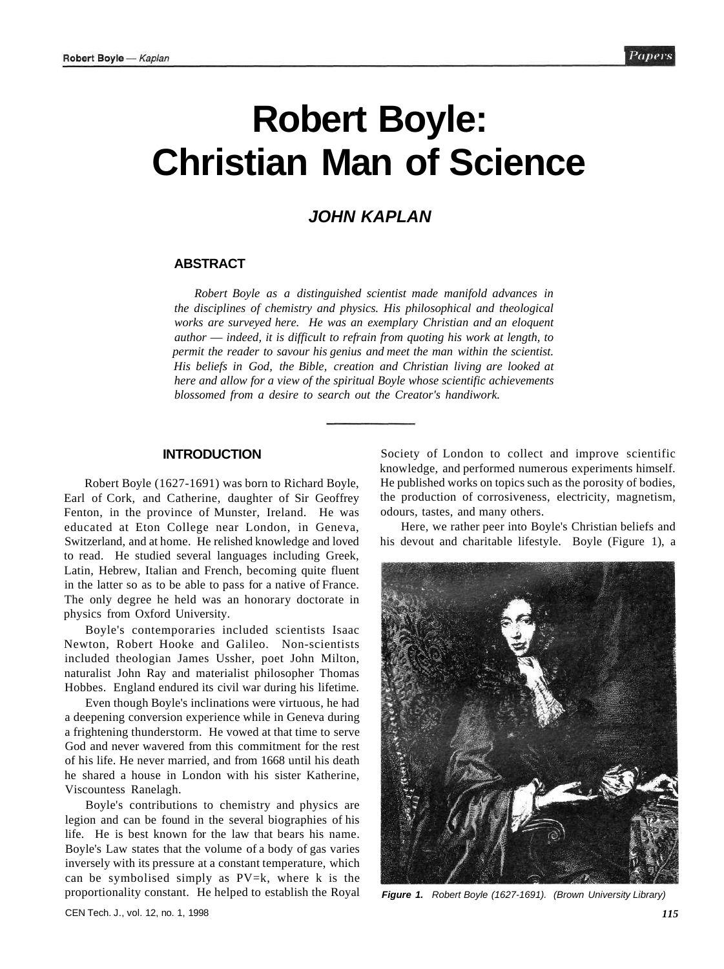# **Robert Boyle: Christian Man of Science**

# **JOHN KAPLAN**

## **ABSTRACT**

*Robert Boyle as a distinguished scientist made manifold advances in the disciplines of chemistry and physics. His philosophical and theological works are surveyed here. He was an exemplary Christian and an eloquent author* — *indeed, it is difficult to refrain from quoting his work at length, to permit the reader to savour his genius and meet the man within the scientist. His beliefs in God, the Bible, creation and Christian living are looked at here and allow for a view of the spiritual Boyle whose scientific achievements blossomed from a desire to search out the Creator's handiwork.* 

#### **INTRODUCTION**

Robert Boyle (1627-1691) was born to Richard Boyle, Earl of Cork, and Catherine, daughter of Sir Geoffrey Fenton, in the province of Munster, Ireland. He was educated at Eton College near London, in Geneva, Switzerland, and at home. He relished knowledge and loved to read. He studied several languages including Greek, Latin, Hebrew, Italian and French, becoming quite fluent in the latter so as to be able to pass for a native of France. The only degree he held was an honorary doctorate in physics from Oxford University.

Boyle's contemporaries included scientists Isaac Newton, Robert Hooke and Galileo. Non-scientists included theologian James Ussher, poet John Milton, naturalist John Ray and materialist philosopher Thomas Hobbes. England endured its civil war during his lifetime.

Even though Boyle's inclinations were virtuous, he had a deepening conversion experience while in Geneva during a frightening thunderstorm. He vowed at that time to serve God and never wavered from this commitment for the rest of his life. He never married, and from 1668 until his death he shared a house in London with his sister Katherine, Viscountess Ranelagh.

Boyle's contributions to chemistry and physics are legion and can be found in the several biographies of his life. He is best known for the law that bears his name. Boyle's Law states that the volume of a body of gas varies inversely with its pressure at a constant temperature, which can be symbolised simply as  $PV=k$ , where k is the proportionality constant. He helped to establish the Royal

Society of London to collect and improve scientific knowledge, and performed numerous experiments himself. He published works on topics such as the porosity of bodies, the production of corrosiveness, electricity, magnetism, odours, tastes, and many others.

Here, we rather peer into Boyle's Christian beliefs and his devout and charitable lifestyle. Boyle (Figure 1), a



**Figure 1.** Robert Boyle (1627-1691). (Brown University Library)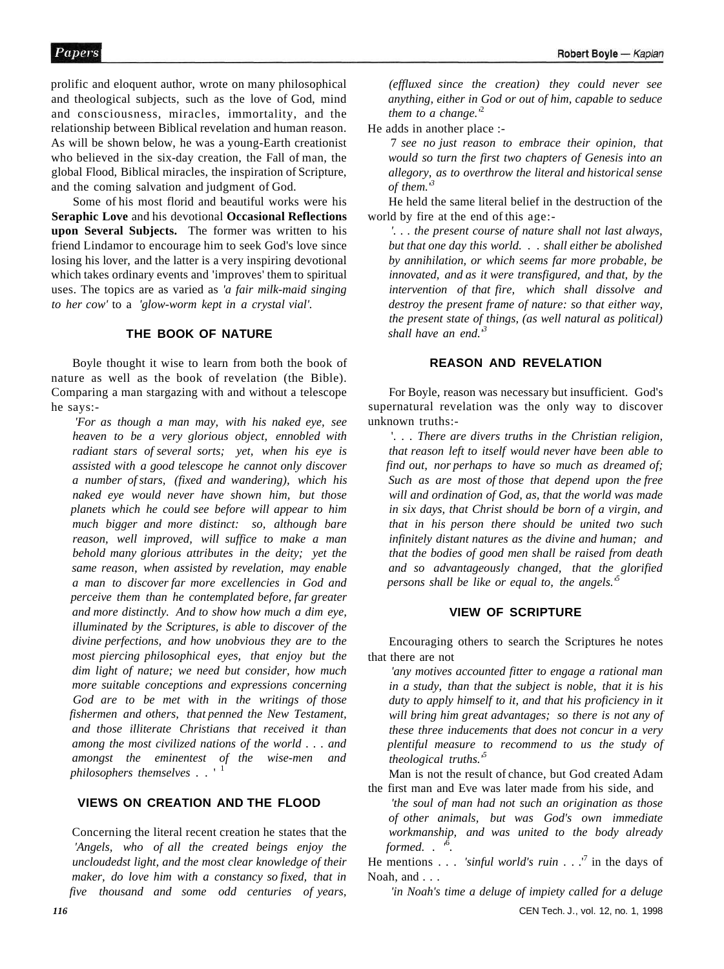prolific and eloquent author, wrote on many philosophical and theological subjects, such as the love of God, mind and consciousness, miracles, immortality, and the relationship between Biblical revelation and human reason. As will be shown below, he was a young-Earth creationist who believed in the six-day creation, the Fall of man, the global Flood, Biblical miracles, the inspiration of Scripture, and the coming salvation and judgment of God.

Some of his most florid and beautiful works were his **Seraphic Love** and his devotional **Occasional Reflections upon Several Subjects.** The former was written to his friend Lindamor to encourage him to seek God's love since losing his lover, and the latter is a very inspiring devotional which takes ordinary events and 'improves' them to spiritual uses. The topics are as varied as *'a fair milk-maid singing to her cow'* to a *'glow-worm kept in a crystal vial'.* 

#### **THE BOOK OF NATURE**

Boyle thought it wise to learn from both the book of nature as well as the book of revelation (the Bible). Comparing a man stargazing with and without a telescope he says:-

*'For as though a man may, with his naked eye, see heaven to be a very glorious object, ennobled with radiant stars of several sorts; yet, when his eye is assisted with a good telescope he cannot only discover a number of stars, (fixed and wandering), which his naked eye would never have shown him, but those planets which he could see before will appear to him much bigger and more distinct: so, although bare reason, well improved, will suffice to make a man behold many glorious attributes in the deity; yet the same reason, when assisted by revelation, may enable a man to discover far more excellencies in God and perceive them than he contemplated before, far greater and more distinctly. And to show how much a dim eye, illuminated by the Scriptures, is able to discover of the divine perfections, and how unobvious they are to the most piercing philosophical eyes, that enjoy but the dim light of nature; we need but consider, how much more suitable conceptions and expressions concerning God are to be met with in the writings of those fishermen and others, that penned the New Testament, and those illiterate Christians that received it than among the most civilized nations of the world . . . and amongst the eminentest of the wise-men and philosophers themselves* . . '<sup>1</sup>

## **VIEWS ON CREATION AND THE FLOOD**

Concerning the literal recent creation he states that the *'Angels, who of all the created beings enjoy the uncloudedst light, and the most clear knowledge of their maker, do love him with a constancy so fixed, that in five thousand and some odd centuries of years,*  *(effluxed since the creation) they could never see anything, either in God or out of him, capable to seduce them to a change.'*<sup>2</sup>

He adds in another place :-

7 *see no just reason to embrace their opinion, that would so turn the first two chapters of Genesis into an allegory, as to overthrow the literal and historical sense of them.'<sup>3</sup>*

He held the same literal belief in the destruction of the world by fire at the end of this age:-

*'. . . the present course of nature shall not last always, but that one day this world.* . . *shall either be abolished by annihilation, or which seems far more probable, be innovated, and as it were transfigured, and that, by the intervention of that fire, which shall dissolve and destroy the present frame of nature: so that either way, the present state of things, (as well natural as political) shall have an end.'<sup>3</sup>*

#### **REASON AND REVELATION**

For Boyle, reason was necessary but insufficient. God's supernatural revelation was the only way to discover unknown truths:-

'. . . *There are divers truths in the Christian religion, that reason left to itself would never have been able to find out, nor perhaps to have so much as dreamed of; Such as are most of those that depend upon the free will and ordination of God, as, that the world was made in six days, that Christ should be born of a virgin, and that in his person there should be united two such infinitely distant natures as the divine and human; and that the bodies of good men shall be raised from death and so advantageously changed, that the glorified persons shall be like or equal to, the angels.'<sup>5</sup>*

#### **VIEW OF SCRIPTURE**

Encouraging others to search the Scriptures he notes that there are not

*'any motives accounted fitter to engage a rational man in a study, than that the subject is noble, that it is his duty to apply himself to it, and that his proficiency in it will bring him great advantages; so there is not any of these three inducements that does not concur in a very plentiful measure to recommend to us the study of theological truths.'<sup>5</sup>*

Man is not the result of chance, but God created Adam the first man and Eve was later made from his side, and

*'the soul of man had not such an origination as those of other animals, but was God's own immediate workmanship, and was united to the body already formed. . '*<sup>6</sup> *.* 

He mentions . . . *'sinful world's ruin* . . .<sup>7</sup> in the days of Noah, and . . .

*'in Noah's time a deluge of impiety called for a deluge*  CEN Tech. J., vol. 12, no. 1, 1998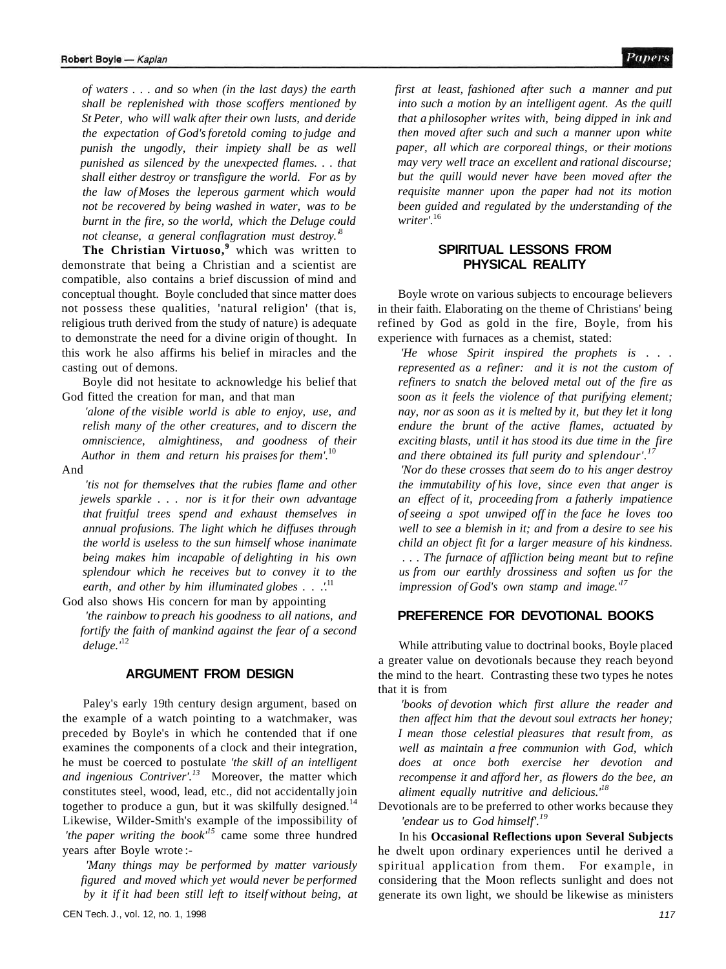Papers

*of waters .* . . *and so when (in the last days) the earth shall be replenished with those scoffers mentioned by St Peter, who will walk after their own lusts, and deride the expectation of God's foretold coming to judge and punish the ungodly, their impiety shall be as well punished as silenced by the unexpected flames. . . that shall either destroy or transfigure the world. For as by the law of Moses the leperous garment which would not be recovered by being washed in water, was to be burnt in the fire, so the world, which the Deluge could not cleanse, a general conflagration must destroy.'*<sup>8</sup>

The Christian Virtuoso,<sup>9</sup> which was written to demonstrate that being a Christian and a scientist are compatible, also contains a brief discussion of mind and conceptual thought. Boyle concluded that since matter does not possess these qualities, 'natural religion' (that is, religious truth derived from the study of nature) is adequate to demonstrate the need for a divine origin of thought. In this work he also affirms his belief in miracles and the casting out of demons.

Boyle did not hesitate to acknowledge his belief that God fitted the creation for man, and that man

*'alone of the visible world is able to enjoy, use, and relish many of the other creatures, and to discern the omniscience, almightiness, and goodness of their Author in them and return his praises for them'.*<sup>10</sup>

#### And

*'tis not for themselves that the rubies flame and other jewels sparkle . . . nor is it for their own advantage that fruitful trees spend and exhaust themselves in annual profusions. The light which he diffuses through the world is useless to the sun himself whose inanimate being makes him incapable of delighting in his own splendour which he receives but to convey it to the earth, and other by him illuminated globes . . .'.*<sup>11</sup>

God also shows His concern for man by appointing

*'the rainbow to preach his goodness to all nations, and fortify the faith of mankind against the fear of a second deluge.'*<sup>12</sup>

## **ARGUMENT FROM DESIGN**

Paley's early 19th century design argument, based on the example of a watch pointing to a watchmaker, was preceded by Boyle's in which he contended that if one examines the components of a clock and their integration, he must be coerced to postulate *'the skill of an intelligent and ingenious Contriver'.<sup>13</sup>* Moreover, the matter which constitutes steel, wood, lead, etc., did not accidentally join together to produce a gun, but it was skilfully designed.<sup>14</sup> Likewise, Wilder-Smith's example of the impossibility of *'the paper writing the book'<sup>15</sup>* came some three hundred years after Boyle wrote :-

*'Many things may be performed by matter variously figured and moved which yet would never be performed by it if it had been still left to itself without being, at*  *first at least, fashioned after such a manner and put into such a motion by an intelligent agent. As the quill that a philosopher writes with, being dipped in ink and then moved after such and such a manner upon white paper, all which are corporeal things, or their motions may very well trace an excellent and rational discourse; but the quill would never have been moved after the requisite manner upon the paper had not its motion been guided and regulated by the understanding of the writer'.*<sup>16</sup>

#### **SPIRITUAL LESSONS FROM PHYSICAL REALITY**

Boyle wrote on various subjects to encourage believers in their faith. Elaborating on the theme of Christians' being refined by God as gold in the fire, Boyle, from his experience with furnaces as a chemist, stated:

*'He whose Spirit inspired the prophets is* . . . *represented as a refiner: and it is not the custom of refiners to snatch the beloved metal out of the fire as soon as it feels the violence of that purifying element; nay, nor as soon as it is melted by it, but they let it long endure the brunt of the active flames, actuated by exciting blasts, until it has stood its due time in the fire and there obtained its full purity and splendour'.<sup>17</sup>*

*'Nor do these crosses that seem do to his anger destroy the immutability of his love, since even that anger is an effect of it, proceeding from a fatherly impatience of seeing a spot unwiped off in the face he loves too well to see a blemish in it; and from a desire to see his child an object fit for a larger measure of his kindness.*  . . . *The furnace of affliction being meant but to refine us from our earthly drossiness and soften us for the impression of God's own stamp and image.'<sup>17</sup>*

## **PREFERENCE FOR DEVOTIONAL BOOKS**

While attributing value to doctrinal books, Boyle placed a greater value on devotionals because they reach beyond the mind to the heart. Contrasting these two types he notes that it is from

*'books of devotion which first allure the reader and then affect him that the devout soul extracts her honey; I mean those celestial pleasures that result from, as well as maintain a free communion with God, which does at once both exercise her devotion and recompense it and afford her, as flowers do the bee, an aliment equally nutritive and delicious.'<sup>18</sup>*

Devotionals are to be preferred to other works because they *'endear us to God himself'.<sup>19</sup>*

In his **Occasional Reflections upon Several Subjects**  he dwelt upon ordinary experiences until he derived a spiritual application from them. For example, in considering that the Moon reflects sunlight and does not generate its own light, we should be likewise as ministers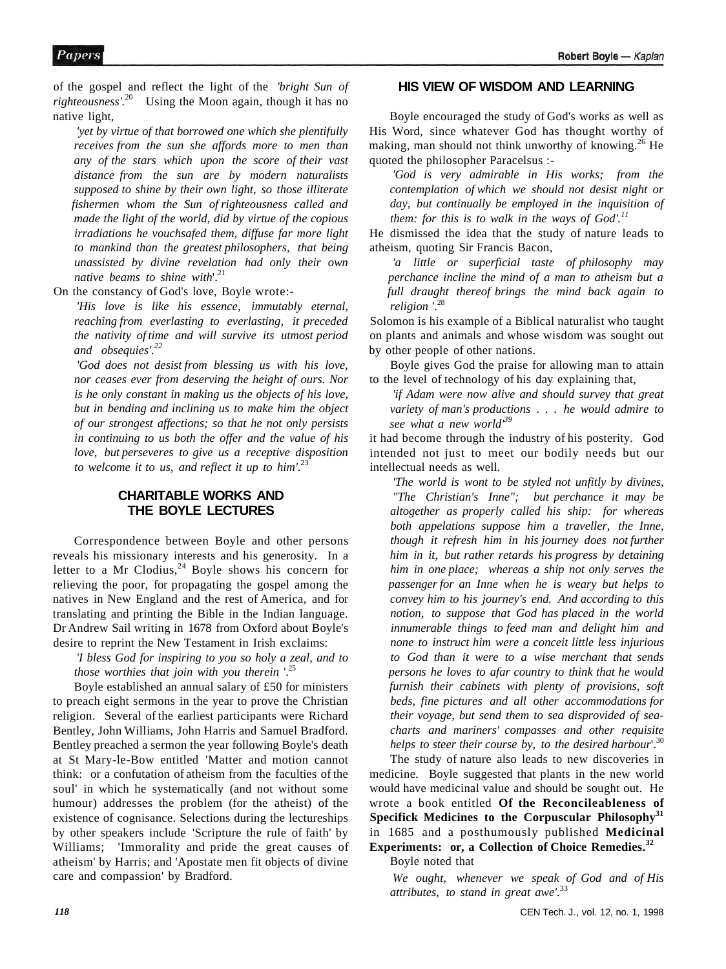of the gospel and reflect the light of the *'bright Sun of righteousness'.*<sup>20</sup> Using the Moon again, though it has no native light,

*'yet by virtue of that borrowed one which she plentifully receives from the sun she affords more to men than any of the stars which upon the score of their vast distance from the sun are by modern naturalists supposed to shine by their own light, so those illiterate fishermen whom the Sun of righteousness called and made the light of the world, did by virtue of the copious irradiations he vouchsafed them, diffuse far more light to mankind than the greatest philosophers, that being unassisted by divine revelation had only their own native beams to shine with*'.<sup>21</sup>

On the constancy of God's love, Boyle wrote:-

*'His love is like his essence, immutably eternal, reaching from everlasting to everlasting, it preceded the nativity of time and will survive its utmost period and obsequies'.<sup>22</sup>*

*'God does not desist from blessing us with his love, nor ceases ever from deserving the height of ours. Nor is he only constant in making us the objects of his love, but in bending and inclining us to make him the object of our strongest affections; so that he not only persists in continuing to us both the offer and the value of his love, but perseveres to give us a receptive disposition to welcome it to us, and reflect it up to him'.*<sup>23</sup>

# **CHARITABLE WORKS AND THE BOYLE LECTURES**

Correspondence between Boyle and other persons reveals his missionary interests and his generosity. In a letter to a Mr Clodius,  $24$  Boyle shows his concern for relieving the poor, for propagating the gospel among the natives in New England and the rest of America, and for translating and printing the Bible in the Indian language. Dr Andrew Sail writing in 1678 from Oxford about Boyle's desire to reprint the New Testament in Irish exclaims:

*'I bless God for inspiring to you so holy a zeal, and to those worthies that join with you therein* '.<sup>25</sup>

Boyle established an annual salary of £50 for ministers to preach eight sermons in the year to prove the Christian religion. Several of the earliest participants were Richard Bentley, John Williams, John Harris and Samuel Bradford. Bentley preached a sermon the year following Boyle's death at St Mary-le-Bow entitled 'Matter and motion cannot think: or a confutation of atheism from the faculties of the soul' in which he systematically (and not without some humour) addresses the problem (for the atheist) of the existence of cognisance. Selections during the lectureships by other speakers include 'Scripture the rule of faith' by Williams; 'Immorality and pride the great causes of atheism' by Harris; and 'Apostate men fit objects of divine care and compassion' by Bradford.

#### **HIS VIEW OF WISDOM AND LEARNING**

Boyle encouraged the study of God's works as well as His Word, since whatever God has thought worthy of making, man should not think unworthy of knowing.<sup>26</sup> He quoted the philosopher Paracelsus :-

*'God is very admirable in His works; from the contemplation of which we should not desist night or day, but continually be employed in the inquisition of them: for this is to walk in the ways of God'.<sup>11</sup>*

He dismissed the idea that the study of nature leads to atheism, quoting Sir Francis Bacon,

*'a little or superficial taste of philosophy may perchance incline the mind of a man to atheism but a full draught thereof brings the mind back again to religion*  $\frac{1}{2}$ 

Solomon is his example of a Biblical naturalist who taught on plants and animals and whose wisdom was sought out by other people of other nations.

Boyle gives God the praise for allowing man to attain to the level of technology of his day explaining that,

*'if Adam were now alive and should survey that great variety of man's productions* . . . *he would admire to see what a new world'<sup>39</sup>*

it had become through the industry of his posterity. God intended not just to meet our bodily needs but our intellectual needs as well.

*'The world is wont to be styled not unfitly by divines, "The Christian's Inne"; but perchance it may be altogether as properly called his ship: for whereas both appelations suppose him a traveller, the Inne, though it refresh him in his journey does not further him in it, but rather retards his progress by detaining him in one place; whereas a ship not only serves the passenger for an Inne when he is weary but helps to convey him to his journey's end. And according to this notion, to suppose that God has placed in the world innumerable things to feed man and delight him and none to instruct him were a conceit little less injurious to God than it were to a wise merchant that sends persons he loves to afar country to think that he would furnish their cabinets with plenty of provisions, soft beds, fine pictures and all other accommodations for their voyage, but send them to sea disprovided of seacharts and mariners' compasses and other requisite helps to steer their course by, to the desired harbour*'.<sup>30</sup>

The study of nature also leads to new discoveries in medicine. Boyle suggested that plants in the new world would have medicinal value and should be sought out. He wrote a book entitled **Of the Reconcileableness of Specifick Medicines to the Corpuscular Philosophy<sup>31</sup>** in 1685 and a posthumously published **Medicinal Experiments: or, a Collection of Choice Remedies.<sup>32</sup>**

Boyle noted that

*We ought, whenever we speak of God and of His attributes, to stand in great awe'.*<sup>33</sup>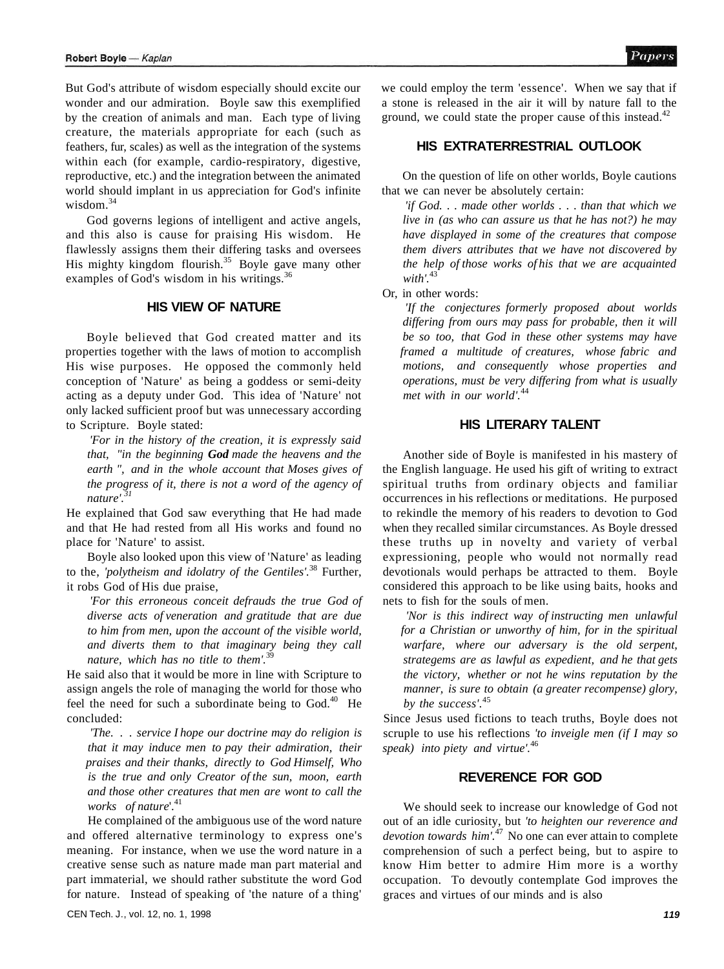But God's attribute of wisdom especially should excite our wonder and our admiration. Boyle saw this exemplified by the creation of animals and man. Each type of living creature, the materials appropriate for each (such as feathers, fur, scales) as well as the integration of the systems within each (for example, cardio-respiratory, digestive, reproductive, etc.) and the integration between the animated world should implant in us appreciation for God's infinite wisdom.<sup>34</sup>

God governs legions of intelligent and active angels, and this also is cause for praising His wisdom. He flawlessly assigns them their differing tasks and oversees His mighty kingdom flourish.<sup>35</sup> Boyle gave many other examples of God's wisdom in his writings.<sup>36</sup>

#### **HIS VIEW OF NATURE**

Boyle believed that God created matter and its properties together with the laws of motion to accomplish His wise purposes. He opposed the commonly held conception of 'Nature' as being a goddess or semi-deity acting as a deputy under God. This idea of 'Nature' not only lacked sufficient proof but was unnecessary according to Scripture. Boyle stated:

*'For in the history of the creation, it is expressly said that, "in the beginning God made the heavens and the earth ", and in the whole account that Moses gives of the progress of it, there is not a word of the agency of nature'.<sup>31</sup>*

He explained that God saw everything that He had made and that He had rested from all His works and found no place for 'Nature' to assist.

Boyle also looked upon this view of 'Nature' as leading to the, *'polytheism and idolatry of the Gentiles'.*<sup>38</sup> Further, it robs God of His due praise,

*'For this erroneous conceit defrauds the true God of diverse acts of veneration and gratitude that are due to him from men, upon the account of the visible world, and diverts them to that imaginary being they call nature, which has no title to them'.*<sup>39</sup>

He said also that it would be more in line with Scripture to assign angels the role of managing the world for those who feel the need for such a subordinate being to  $God.<sup>40</sup>$  He concluded:

*'The.* . . *service I hope our doctrine may do religion is that it may induce men to pay their admiration, their praises and their thanks, directly to God Himself, Who is the true and only Creator of the sun, moon, earth and those other creatures that men are wont to call the works* of nature'.<sup>41</sup>

He complained of the ambiguous use of the word nature and offered alternative terminology to express one's meaning. For instance, when we use the word nature in a creative sense such as nature made man part material and part immaterial, we should rather substitute the word God for nature. Instead of speaking of 'the nature of a thing' we could employ the term 'essence'. When we say that if a stone is released in the air it will by nature fall to the ground, we could state the proper cause of this instead. $42$ 

# **HIS EXTRATERRESTRIAL OUTLOOK**

On the question of life on other worlds, Boyle cautions that we can never be absolutely certain:

*'if God.* . . *made other worlds .* . . *than that which we live in (as who can assure us that he has not?) he may have displayed in some of the creatures that compose them divers attributes that we have not discovered by the help of those works of his that we are acquainted with'.*<sup>43</sup>

Or, in other words:

*'If the conjectures formerly proposed about worlds differing from ours may pass for probable, then it will be so too, that God in these other systems may have framed a multitude of creatures, whose fabric and motions, and consequently whose properties and operations, must be very differing from what is usually met with in our world'.*<sup>44</sup>

# **HIS LITERARY TALENT**

Another side of Boyle is manifested in his mastery of the English language. He used his gift of writing to extract spiritual truths from ordinary objects and familiar occurrences in his reflections or meditations. He purposed to rekindle the memory of his readers to devotion to God when they recalled similar circumstances. As Boyle dressed these truths up in novelty and variety of verbal expressioning, people who would not normally read devotionals would perhaps be attracted to them. Boyle considered this approach to be like using baits, hooks and nets to fish for the souls of men.

*'Nor is this indirect way of instructing men unlawful for a Christian or unworthy of him, for in the spiritual warfare, where our adversary is the old serpent, strategems are as lawful as expedient, and he that gets the victory, whether or not he wins reputation by the manner, is sure to obtain (a greater recompense) glory, by the success'.*<sup>45</sup>

Since Jesus used fictions to teach truths, Boyle does not scruple to use his reflections *'to inveigle men (if I may so speak) into piety and virtue'.*<sup>46</sup>

# **REVERENCE FOR GOD**

We should seek to increase our knowledge of God not out of an idle curiosity, but *'to heighten our reverence and devotion towards him'.*<sup>47</sup> No one can ever attain to complete comprehension of such a perfect being, but to aspire to know Him better to admire Him more is a worthy occupation. To devoutly contemplate God improves the graces and virtues of our minds and is also